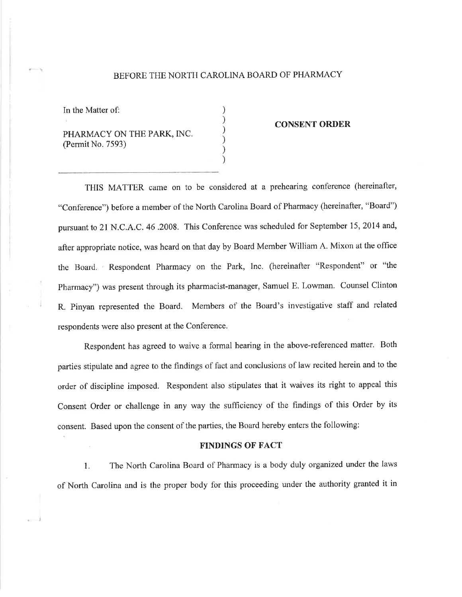#### BEFORE THE NORTH CAROLINA BOARD OF PHARMACY

) ) ) ) ) )

In the Matter of:

PHARMACY ON THE PARK, INC. (Permit No. 7593)

#### CONSENT ORDER

THIS MATTER came on to be considered at a prehearing conference (hereinafter, "Conference") before a member of the North Carolina Board of Pharmacy (hereinafter, "Board") pursuant to 21 N.C.A.C. 46 .2008. This Conference was scheduled for September 15, 2014 and, after appropriate notice, was heard on that day by Board Member William A. Mixon at the office the Board. Respondent Pharmacy on the Park, Inc. (hereinafter "Respondent" or "the Pharmacy") was present through its pharmacist-manager, Samuel E. Lowman. Counsel Clinton R. Pinyan represented the Board. Members of the Board's investigative staff and related respondents were also present at the Conference,

Respondent has agreed to waive a formal hearing in the above-referenced matter. Both parties stipulate and agree to the findings of fact and conclusions of law recited herein and to the order of discipline imposed. Respondent also stipulates that it waives its right to appeal this Consent Order or challenge in any way thc sufficiency of the findings of this Order by its consent. Based upon the consent of the parties, the Board hereby enters the following:

#### FINDINGS OF FACT

L The North Carolina Board of Pharmacy is a body duly organized under the laws of North Carolina and is the proper body for this proceeding under the authority granted it in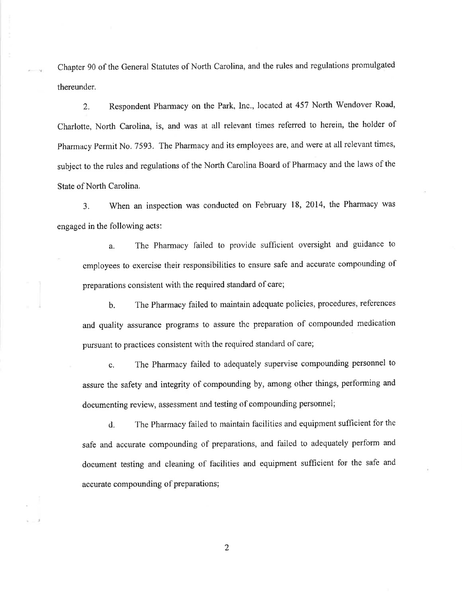Chapter 90 of the General Statutes of North Carolina, and the rules and regulations promulgated thereunder.

2. Respondent Pharmacy on the Park, Inc., located at 457 North Wendover Road, Charlotte, North Carolina, is, and was at all relevant times refened to herein, the holder of Pharmacy Permit No. 7593. The Pharmacy and its employees are, and were at all rclevant times, subject to the rules and regulations of the North Carolina Board of Pharmacy and the laws of the State of North Carolina.

3. When an inspection was conducted on February 18, 2014, the Pharmacy was engaged in the following acts:

a. The Pharmacy lailed to provide suffìcient oversight and guidance to employees to exercise their responsibilities to ensure safe and accurate compounding of preparations consistent with the required standard of care;

b. The Pharmacy failed to maintain adequate policies, procedures, references and quality assurance programs to assure the preparation of compounded medication pursuant to practices consistent with the required standard of care;

c. The Pharmacy failed to adequately supervise compounding personnel to assure the safety and integrity of compounding by, among other things, performing and documenting review, assessment and testing of compounding personnel;

d, The Pharmacy failed to maintain facilities and equipment sufficient for the safe and accurate compounding of preparations, and failed to adequately perform and document testing and cleaning of facilities and equipment sufficient for the safe and accurate compounding of preparations;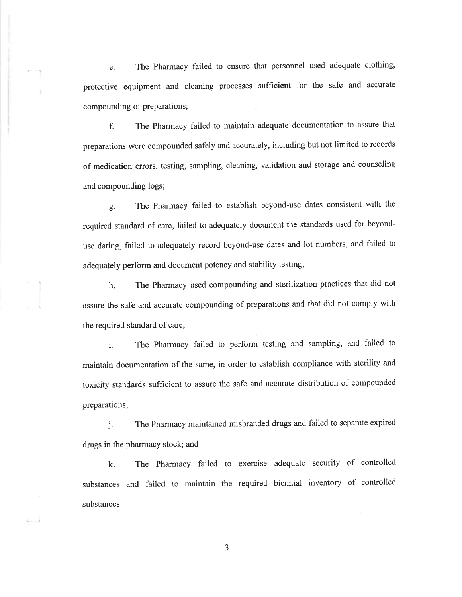e, The Pharmacy failed to ensure that personnel used adequate clothing, protective equipment and cleaning processes sufficient for the safe and accurate compounding of preparations;

f. The Pharmacy failed to maintain adequate documentation to assure that preparations were compounded safely and accurately, including but not limited to records of medication errors, testing, sampling, cleaning, validation and storage and counseling and compounding logs;

g. The Pharmacy failed to establish beyond-use dates consistent with the required standard of care, failed to adequately document the standards used for beyonduse dating, failed to adequately record beyond-use dates and lot numbers, and failed to adequately perform and document potency and stability testing;

h. The Pharmacy used compounding and sterilization practices that did not assure the safe and accurate compounding of preparations and that did not comply with the required standard of care;

i, The Pharmacy failed to perform testing and sampling, and failed to maintain documentation of the same, in order to establish compliance with sterility and toxicity standards sufficient to assure the safe and accurate distribution of compoundcd preparations;

j. The Pharmacy maintained misbranded drugs and failed to separate expired drugs in the pharmacy stock; and

k. The Pharmacy failcd to exercise adequate security of controlled substances and failed to maintain the required biennial inventory of controlled substances,

J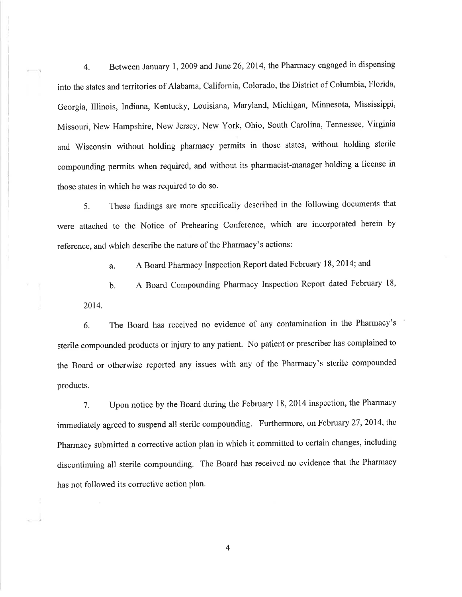4. Between January l,2Q0g and June 26,2014, the Pharmacy engaged in dispensing into the states and territories of Alabama, California, Colorado, the District of Columbia, Florida, Georgia, Illinois, Indiana, Kentucky, Louisiana, Maryland, Michigan, Minnesota, Mississippi, Missouri, New Hampshire, New Jersey, New York, Ohio, South Carolina, Tennessee, Virginia and Wisconsin without holding pharmacy permits in those states, without holding sterile compounding permits when required, and without its pharmacist-manager holding a license in those states in which he was required to do so.

5. These findings are more specifically described in the following documents that were attached to the Notice of Prehearing Conference, which are incorporated herein by reference, and which describe the nature of the Pharmacy's actions:

a. <sup>A</sup>Board Pharmacy Inspection Report dated February 18, 2014; and

b. A Board Compounding Pharmacy Inspection Report dated February 18, 2014.

6. The Board has received no evidence of any contamination in the Pharmacy's sterile compounded products or injury to any patient. No patient or prescriber has complained to the Board or otherwise reported any issues with any of the Pharmacy's sterile compounded products.

7. Upon notice by the Board during the February 18, 2014 inspection, the Pharmacy immediately agreed to suspend all sterile compounding. Furthermore, on February 27, 2014, the pharmacy submitted a corrective action plan in which it committed to certain changes, including discontinuing all sterile compounding, The Board has received no evidence that the Pharmacy has not followed its corrective action plan.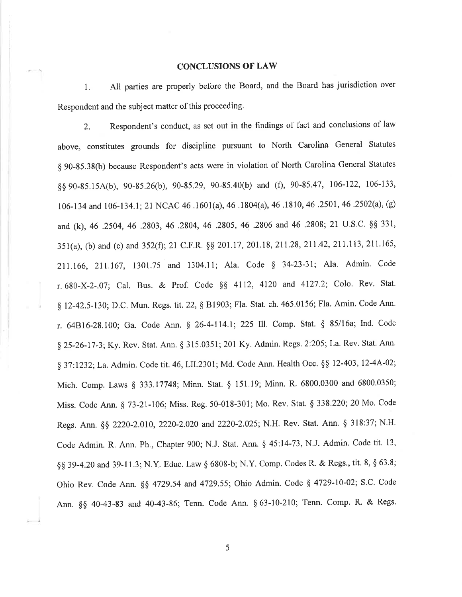#### **CONCLUSIONS OF LAW**

All parties are properly before the Board, and the Board has jurisdiction over 1. Respondent and the subject matter of this proceeding.

Respondent's conduct, as set out in the findings of fact and conclusions of law 2. above, constitutes grounds for discipline pursuant to North Carolina General Statutes § 90-85.38(b) because Respondent's acts were in violation of North Carolina General Statutes §§ 90-85.15A(b), 90-85.26(b), 90-85.29, 90-85.40(b) and (f), 90-85.47, 106-122, 106-133, 106-134 and 106-134.1; 21 NCAC 46 .1601(a), 46 .1804(a), 46 .1810, 46 .2501, 46 .2502(a), (g) and (k), 46 .2804, 46 .2804, 46 .2804, 46 .2805, 46 .2806 and 46 .2808; 21 U.S.C. §§ 331, 351(a), (b) and (c) and 352(f); 21 C.F.R. §§ 201.17, 201.18, 211.28, 211.42, 211.113, 211.165, 211.166, 211.167, 1301.75 and 1304.11; Ala. Code § 34-23-31; Ala. Admin. Code r. 680-X-2-.07; Cal. Bus. & Prof. Code §§ 4112, 4120 and 4127.2; Colo. Rev. Stat. § 12-42.5-130; D.C. Mun. Regs. tit. 22, § B1903; Fla. Stat. ch. 465.0156; Fla. Amin. Code Ann. r. 64B16-28.100; Ga. Code Ann. § 26-4-114.1; 225 Ill. Comp. Stat. § 85/16a; Ind. Code § 25-26-17-3; Ky. Rev. Stat. Ann. § 315.0351; 201 Ky. Admin. Regs. 2:205; La. Rev. Stat. Ann. § 37:1232; La. Admin. Code tit. 46, LII.2301; Md. Code Ann. Health Occ. §§ 12-403, 12-4A-02; Mich. Comp. Laws § 333.17748; Minn. Stat. § 151.19; Minn. R. 6800.0300 and 6800.0350; Miss. Code Ann. § 73-21-106; Miss. Reg. 50-018-301; Mo. Rev. Stat. § 338.220; 20 Mo. Code Regs. Ann. §§ 2220-2.010, 2220-2.020 and 2220-2.025; N.H. Rev. Stat. Ann. § 318:37; N.H. Code Admin. R. Ann. Ph., Chapter 900; N.J. Stat. Ann. § 45:14-73, N.J. Admin. Code tit. 13, §§ 39-4.20 and 39-11.3; N.Y. Educ. Law § 6808-b; N.Y. Comp. Codes R. & Regs., tit. 8, § 63.8; Ohio Rev. Code Ann. §§ 4729.54 and 4729.55; Ohio Admin. Code § 4729-10-02; S.C. Code Ann. §§ 40-43-83 and 40-43-86; Tenn. Code Ann. § 63-10-210; Tenn. Comp. R. & Regs.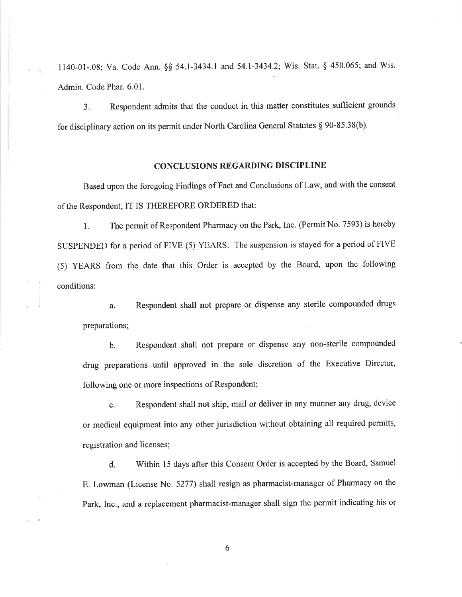1140-01-.08; Va. Code Ann. §§ 54.1-3434.1 and 54.1-3434.2; Wis. Stat. § 450.065; and Wis. Admin. Code Phar. 6,01.

3. Respondent admits that the conduct in this matter constitutes sufficient grounds for disciplinary action on its permit under North Carolina General Statutes \$ 90-85.38(b).

#### CONCLUSIONS REGARDING DISCIPLINE

Based upon the foregoing Findings of Fact and Conclusions of Law, and with the consent of the Respondent,IT IS THEREFORE ORDERED that:

l. The permit of Respondent Pharmacy on the Park, Inc. (Pcrmit No. 7593) is hereby SUSPENDED for a period of FIVE (5) YEARS. The suspension is stayed for a period of FIVE (5) YEARS from the date that this Order is accepted by the Board, upon the following conditions:

a. Respondent shall not prepare or dispense any sterile compounded drugs preparations;

b. Respondent shall not prepare or dispense any non-sterile compounded drug preparations until approved in the sole discretion of the Executive Director, following one or more inspections of Respondent;

c, Respondent shall not ship, mail or deliver in any manner any drug, device or medical equipment into any other jurisdiction without obtaining all required permits, registration and licenses;

d. Within 15 days after this Consent Order is accepted by the Board, Samuel E, Lowman (License No. 5277) shall resign as pharmacist-manager of Pharmacy on the Park, Inc,, and a replacement pharmacist-manager shall sign the permit indicating his or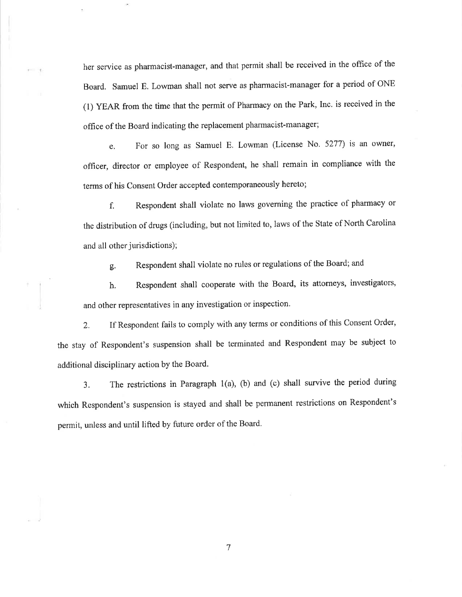her service as pharmacist-manager, and that permit shall be received in the office of the Board. Samuel E. Lowman shall not serve as pharmacist-manager for a period of ONE (l) YEAR from the time that the permit of Pharmacy on the Park, Inc. is received in the office of the Board indicating the replacement pharmacist-manager;

e, For so long as Samuel E, Lowman (License No. 5277) is an ownet, officer, director or employee of Respondent, he shall remain in compliance with the terms of his Consent Order accepted contemporaneously hereto;

f. Respondent shall violate no laws governing the practice of pharmacy or the distribution of drugs (including, but not limited to, laws of the State of North Carolina and all other jurisdictions);

g. Respondent shall violate no rules or regulations of the Board; and

h. Respondent shall cooperate with the Board, its attorneys, investigators, and other representatives in any investigation or inspection.

Z. If Respondent fails to comply with any terms or conditions of this Consent Order, the stay of Respondent's suspension shall be terminated and Respondent may be subject to additional disciplinary action by the Board.

3. The restrictions in Paragraph 1(a), (b) and (c) shall survive the period during which Respondent's suspension is stayed and shall be permanent restrictions on Respondent's permit, unless and until lifted by future order of the Board.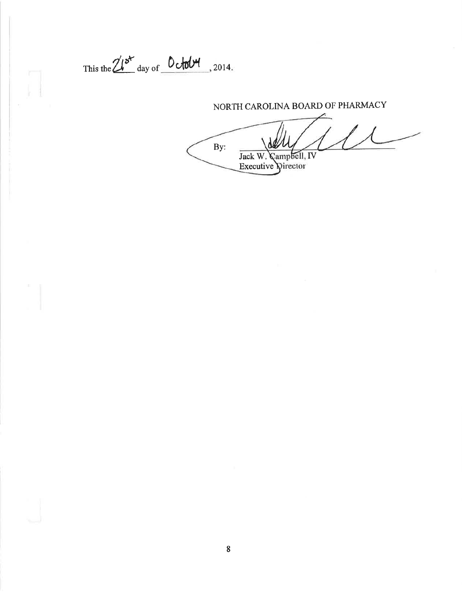This the 21st day of October 2014.

NORTH CAROLINA BOARD OF PHARMACY

By: 8 Jack W. Campbell, IV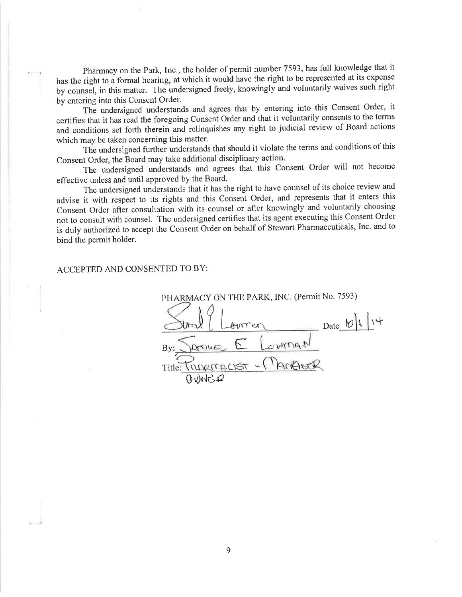Pharmacy on the Park, Inc., the holder of permit number 7593, has full knowledge that it has the right to a formal hearing, at which it would have the right to be represented at its expense by counsel, in this matter. The undersigned freely, knowingly and voluntarily waives such right by entering into this Consent Order.

The undersigned understands and agrees that by entering into this Consent Order, it certifies that it has read the foregoing Consent Order and that it voluntarily consents to the terms and conditions set forth therein and relinquishes any right to judicial review of Board actions which may be taken concerning this matter.

The undersigned further understands that should it violate the terms and conditions of this Consent Order, the Board may take additional disciplinary action.

The undersigned understands and agrees that this Consent Order will not become effective unless and until approved by the Board.

The undersigned understands that it has the right to have counsel of its choice review and advise it with respect to its rights and this Consent Order, and represents that it enters this Consent Order after consultation with its counsel or after knowingly and voluntarily choosing not to consult with counsel. The undersigned certifies that its agent executing this Consent Order is duly authorized to accept the Consent Order on behalf of Stewart Pharmaceuticals, Inc. and to bind the permit holder.

### ACCEPTED AND CONSENTED TO BY:

PHARMACY ON THE PARK, INC. (Permit No. 7593) Date  $|b|1|1$ AUTTER UMMULU **IMPING** Title: